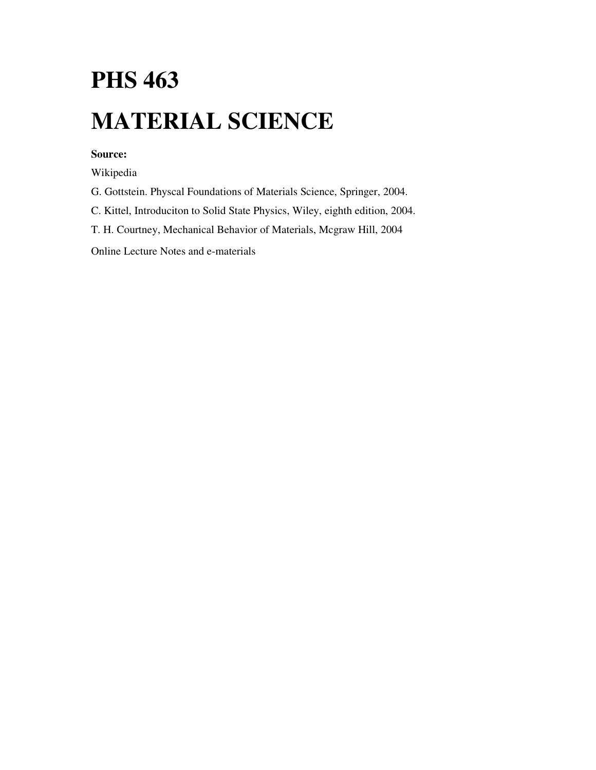# **PHS 463 MATERIAL SCIENCE**

# **Source:**

Wikipedia

G. Gottstein. Physcal Foundations of Materials Science, Springer, 2004.

C. Kittel, Introduciton to Solid State Physics, Wiley, eighth edition, 2004.

T. H. Courtney, Mechanical Behavior of Materials, Mcgraw Hill, 2004

Online Lecture Notes and e-materials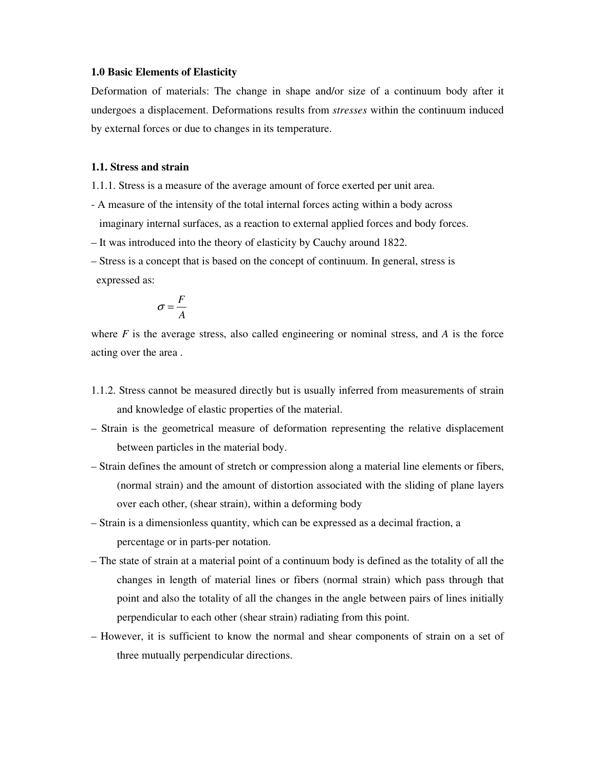#### **1.0 Basic Elements of Elasticity**

Deformation of materials: The change in shape and/or size of a continuum body after it undergoes a displacement. Deformations results from *stresses* within the continuum induced by external forces or due to changes in its temperature.

#### **1.1. Stress and strain**

- 1.1.1. Stress is a measure of the average amount of force exerted per unit area.
- A measure of the intensity of the total internal forces acting within a body across imaginary internal surfaces, as a reaction to external applied forces and body forces.
- It was introduced into the theory of elasticity by Cauchy around 1822.
- Stress is a concept that is based on the concept of continuum. In general, stress is expressed as:

$$
\sigma = \frac{F}{A}
$$

where  $F$  is the average stress, also called engineering or nominal stress, and  $A$  is the force acting over the area .

- 1.1.2. Stress cannot be measured directly but is usually inferred from measurements of strain and knowledge of elastic properties of the material.
- Strain is the geometrical measure of deformation representing the relative displacement between particles in the material body.
- Strain defines the amount of stretch or compression along a material line elements or fibers, (normal strain) and the amount of distortion associated with the sliding of plane layers over each other, (shear strain), within a deforming body
- Strain is a dimensionless quantity, which can be expressed as a decimal fraction, a percentage or in parts-per notation.
- The state of strain at a material point of a continuum body is defined as the totality of all the changes in length of material lines or fibers (normal strain) which pass through that point and also the totality of all the changes in the angle between pairs of lines initially perpendicular to each other (shear strain) radiating from this point.
- However, it is sufficient to know the normal and shear components of strain on a set of three mutually perpendicular directions.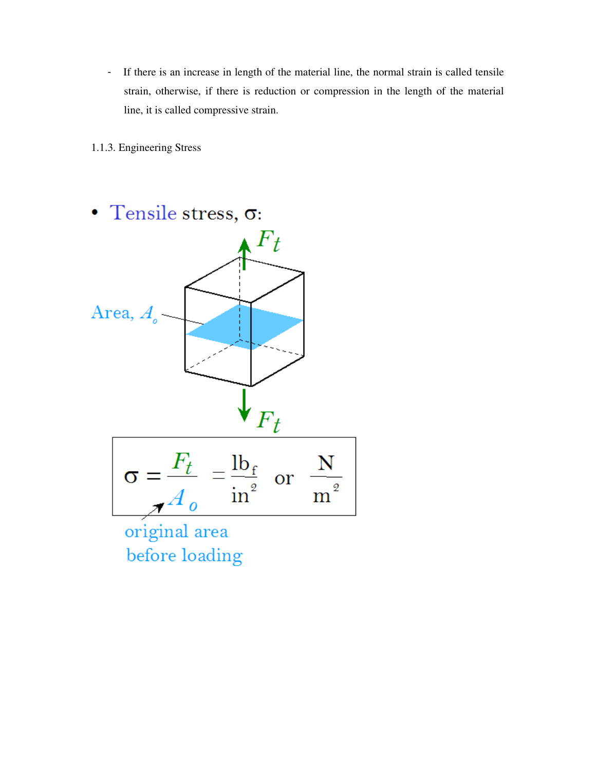- If there is an increase in length of the material line, the normal strain is called tensile strain, otherwise, if there is reduction or compression in the length of the material line, it is called compressive strain.

1.1.3. Engineering Stress

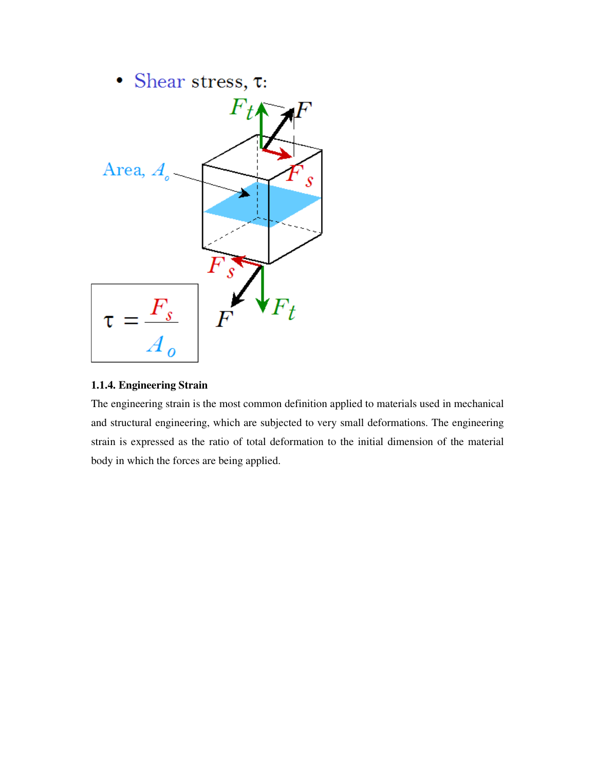

# **1.1.4. Engineering Strain**

The engineering strain is the most common definition applied to materials used in mechanical and structural engineering, which are subjected to very small deformations. The engineering strain is expressed as the ratio of total deformation to the initial dimension of the material body in which the forces are being applied.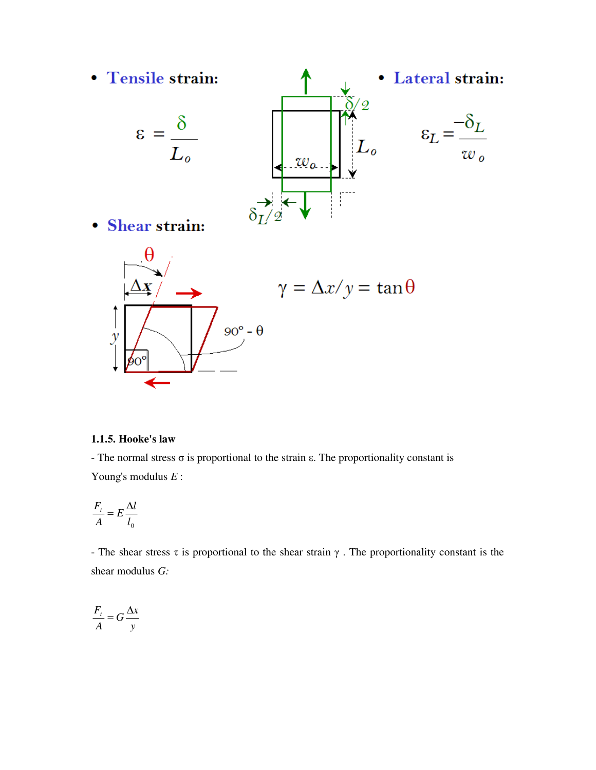

#### **1.1.5. Hooke's law**

- The normal stress  $\sigma$  is proportional to the strain  $\varepsilon$ . The proportionality constant is Young's modulus *E* :

$$
\frac{F_t}{A} = E \frac{\Delta l}{l_0}
$$

- The shear stress  $\tau$  is proportional to the shear strain  $\gamma$ . The proportionality constant is the shear modulus *G:* 

$$
\frac{F_t}{A} = G \frac{\Delta x}{y}
$$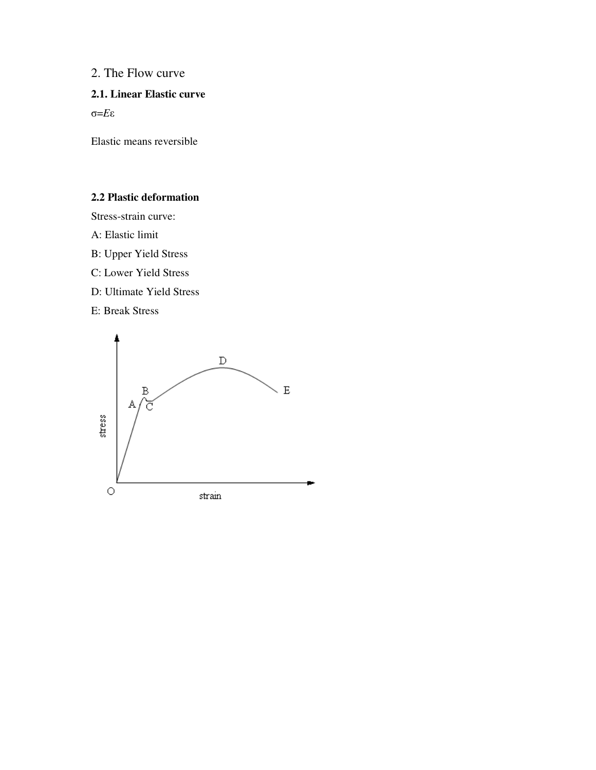# 2. The Flow curve

# **2.1. Linear Elastic curve**

σ=*E*ε

Elastic means reversible

# **2.2 Plastic deformation**

Stress-strain curve:

- A: Elastic limit
- B: Upper Yield Stress
- C: Lower Yield Stress
- D: Ultimate Yield Stress
- E: Break Stress

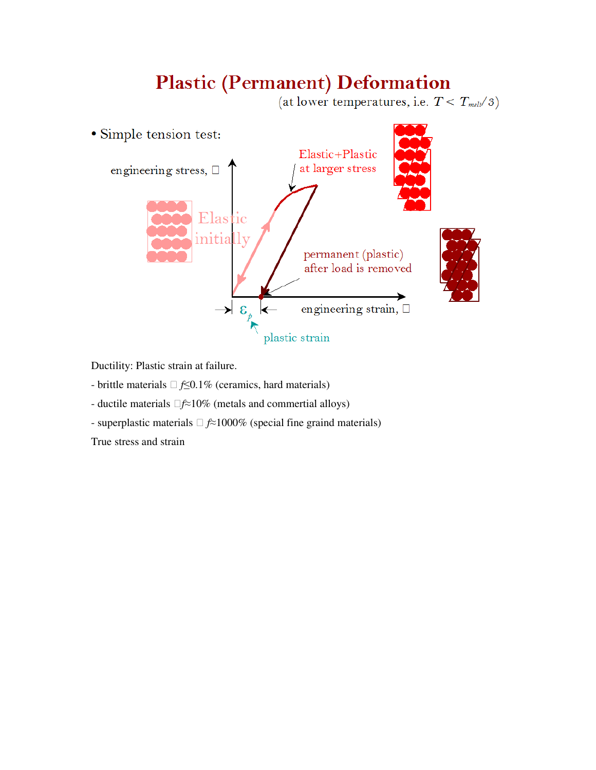# **Plastic (Permanent) Deformation**

(at lower temperatures, i.e.  $T < T_{mell}/3$ )



Ductility: Plastic strain at failure.

- brittle materials *f*≤0.1% (ceramics, hard materials)

- ductile materials *f*≈10% (metals and commertial alloys)

- superplastic materials *f*≈1000% (special fine graind materials)

True stress and strain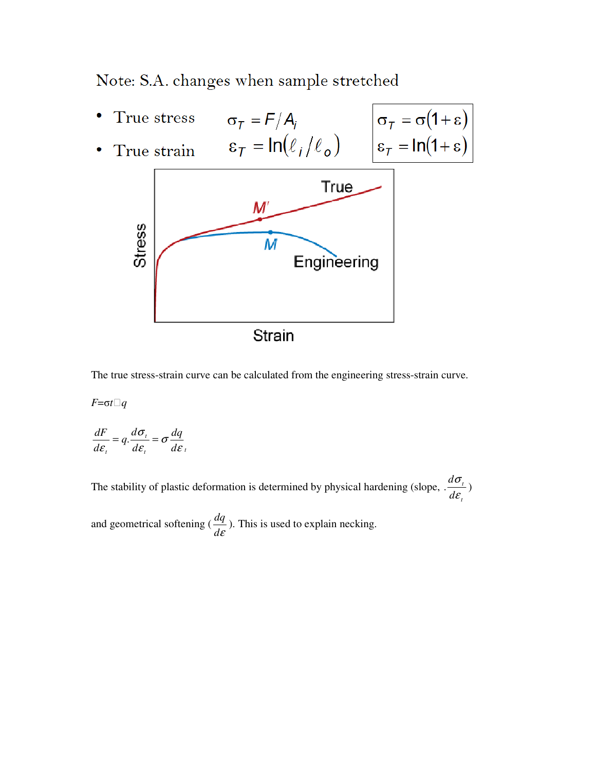# Note: S.A. changes when sample stretched

 $\sigma_T = F/A_i$ <br> $\epsilon_T = \ln(\ell_i/\ell_o)$ True stress  $\sigma_{\tau} = \sigma(1+\varepsilon)$ <br> $\varepsilon_{\tau} = \ln(1+\varepsilon)$ True strain **True**  $M'$ **Stress** M Engineering Strain

The true stress-strain curve can be calculated from the engineering stress-strain curve.

*F*=σ*t* $\Box$ *q* 

$$
\frac{dF}{d\varepsilon_{i}} = q \cdot \frac{d\sigma_{i}}{d\varepsilon_{i}} = \sigma \frac{dq}{d\varepsilon_{i}}
$$

The stability of plastic deformation is determined by physical hardening (slope, *t t d d* ε  $\cdot \frac{d\sigma_{t}}{d\sigma_{t}}$ 

and geometrical softening ( *d*<sup>ε</sup>  $\frac{dq}{dt}$ ). This is used to explain necking.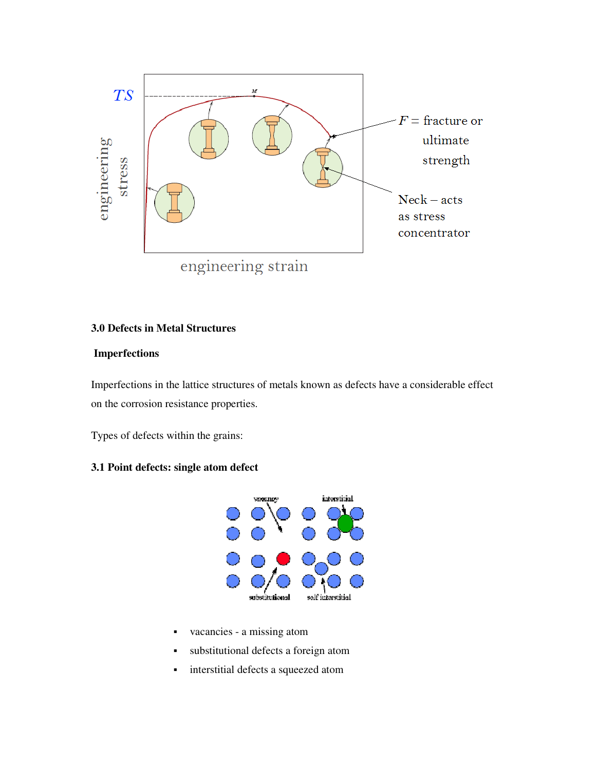

#### **3.0 Defects in Metal Structures**

#### **Imperfections**

Imperfections in the lattice structures of metals known as defects have a considerable effect on the corrosion resistance properties.

Types of defects within the grains:

# **3.1 Point defects: single atom defect**



- vacancies a missing atom
- substitutional defects a foreign atom
- **i** interstitial defects a squeezed atom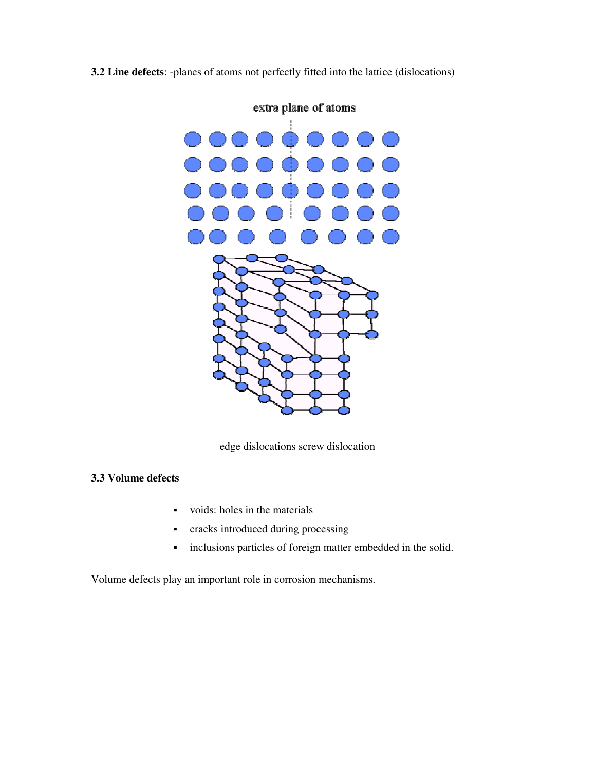# **3.2 Line defects**: -planes of atoms not perfectly fitted into the lattice (dislocations)



extra plane of atoms

edge dislocations screw dislocation

# **3.3 Volume defects**

- voids: holes in the materials
- cracks introduced during processing
- inclusions particles of foreign matter embedded in the solid.

Volume defects play an important role in corrosion mechanisms.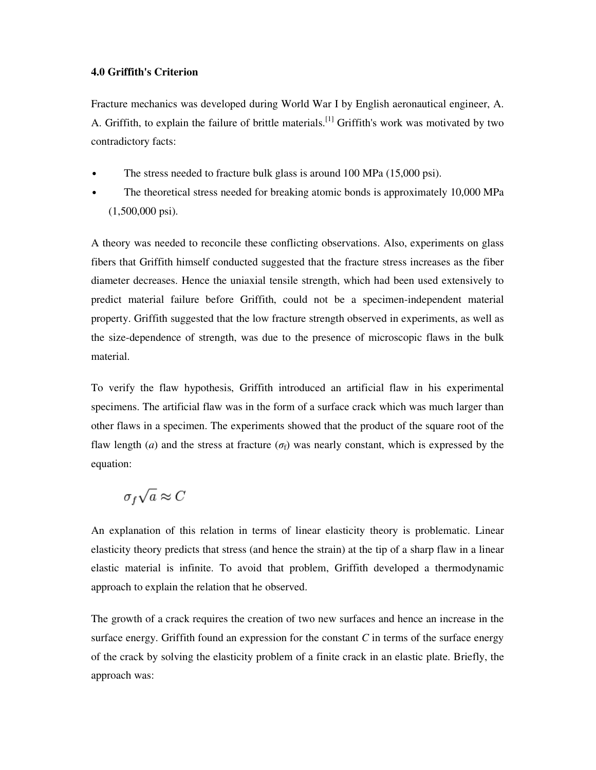#### **4.0 Griffith's Criterion**

Fracture mechanics was developed during World War I by English aeronautical engineer, A. A. Griffith, to explain the failure of brittle materials.<sup>[1]</sup> Griffith's work was motivated by two contradictory facts:

- The stress needed to fracture bulk glass is around 100 MPa (15,000 psi).
- The theoretical stress needed for breaking atomic bonds is approximately 10,000 MPa (1,500,000 psi).

A theory was needed to reconcile these conflicting observations. Also, experiments on glass fibers that Griffith himself conducted suggested that the fracture stress increases as the fiber diameter decreases. Hence the uniaxial tensile strength, which had been used extensively to predict material failure before Griffith, could not be a specimen-independent material property. Griffith suggested that the low fracture strength observed in experiments, as well as the size-dependence of strength, was due to the presence of microscopic flaws in the bulk material.

To verify the flaw hypothesis, Griffith introduced an artificial flaw in his experimental specimens. The artificial flaw was in the form of a surface crack which was much larger than other flaws in a specimen. The experiments showed that the product of the square root of the flaw length (*a*) and the stress at fracture ( $\sigma_f$ ) was nearly constant, which is expressed by the equation:

# $\sigma_f \sqrt{a} \approx C$

An explanation of this relation in terms of linear elasticity theory is problematic. Linear elasticity theory predicts that stress (and hence the strain) at the tip of a sharp flaw in a linear elastic material is infinite. To avoid that problem, Griffith developed a thermodynamic approach to explain the relation that he observed.

The growth of a crack requires the creation of two new surfaces and hence an increase in the surface energy. Griffith found an expression for the constant  $C$  in terms of the surface energy of the crack by solving the elasticity problem of a finite crack in an elastic plate. Briefly, the approach was: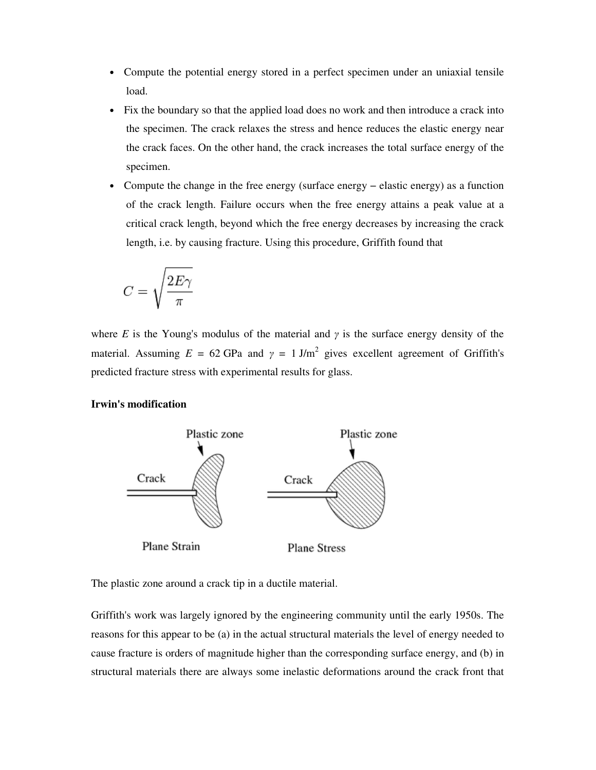- Compute the potential energy stored in a perfect specimen under an uniaxial tensile load.
- Fix the boundary so that the applied load does no work and then introduce a crack into the specimen. The crack relaxes the stress and hence reduces the elastic energy near the crack faces. On the other hand, the crack increases the total surface energy of the specimen.
- Compute the change in the free energy (surface energy − elastic energy) as a function of the crack length. Failure occurs when the free energy attains a peak value at a critical crack length, beyond which the free energy decreases by increasing the crack length, i.e. by causing fracture. Using this procedure, Griffith found that

$$
C=\sqrt{\frac{2E\gamma}{\pi}}
$$

where *E* is the Young's modulus of the material and  $\gamma$  is the surface energy density of the material. Assuming  $E = 62$  GPa and  $\gamma = 1$  J/m<sup>2</sup> gives excellent agreement of Griffith's predicted fracture stress with experimental results for glass.

#### **Irwin's modification**



The plastic zone around a crack tip in a ductile material.

Griffith's work was largely ignored by the engineering community until the early 1950s. The reasons for this appear to be (a) in the actual structural materials the level of energy needed to cause fracture is orders of magnitude higher than the corresponding surface energy, and (b) in structural materials there are always some inelastic deformations around the crack front that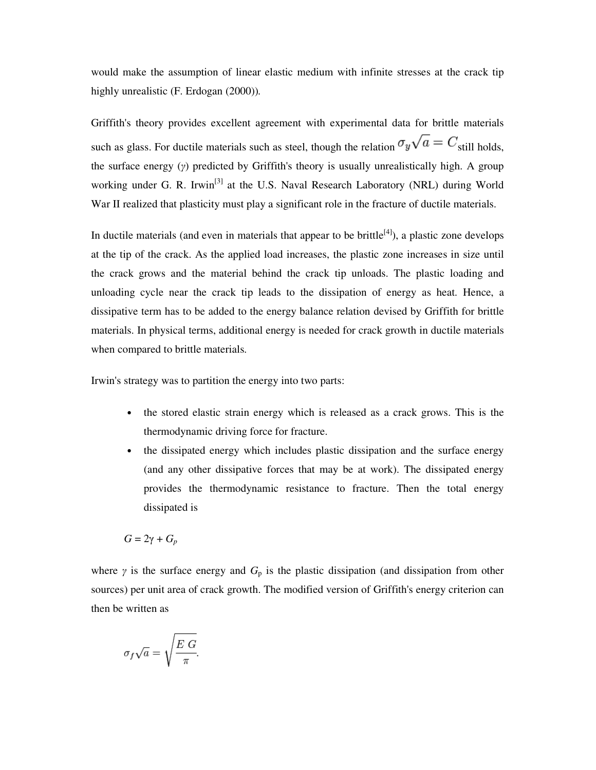would make the assumption of linear elastic medium with infinite stresses at the crack tip highly unrealistic (F. Erdogan (2000))*.*

Griffith's theory provides excellent agreement with experimental data for brittle materials such as glass. For ductile materials such as steel, though the relation  $\sigma_y \sqrt{a} = C_{\text{still holds}}$ , the surface energy (γ) predicted by Griffith's theory is usually unrealistically high. A group working under G. R. Irwin<sup>[3]</sup> at the U.S. Naval Research Laboratory (NRL) during World War II realized that plasticity must play a significant role in the fracture of ductile materials.

In ductile materials (and even in materials that appear to be brittle $[4]$ ), a plastic zone develops at the tip of the crack. As the applied load increases, the plastic zone increases in size until the crack grows and the material behind the crack tip unloads. The plastic loading and unloading cycle near the crack tip leads to the dissipation of energy as heat. Hence, a dissipative term has to be added to the energy balance relation devised by Griffith for brittle materials. In physical terms, additional energy is needed for crack growth in ductile materials when compared to brittle materials.

Irwin's strategy was to partition the energy into two parts:

- the stored elastic strain energy which is released as a crack grows. This is the thermodynamic driving force for fracture.
- the dissipated energy which includes plastic dissipation and the surface energy (and any other dissipative forces that may be at work). The dissipated energy provides the thermodynamic resistance to fracture. Then the total energy dissipated is

$$
G=2\gamma+G_p
$$

where  $\gamma$  is the surface energy and  $G_p$  is the plastic dissipation (and dissipation from other sources) per unit area of crack growth. The modified version of Griffith's energy criterion can then be written as

$$
\sigma_f \sqrt{a} = \sqrt{\frac{E \ G}{\pi}}
$$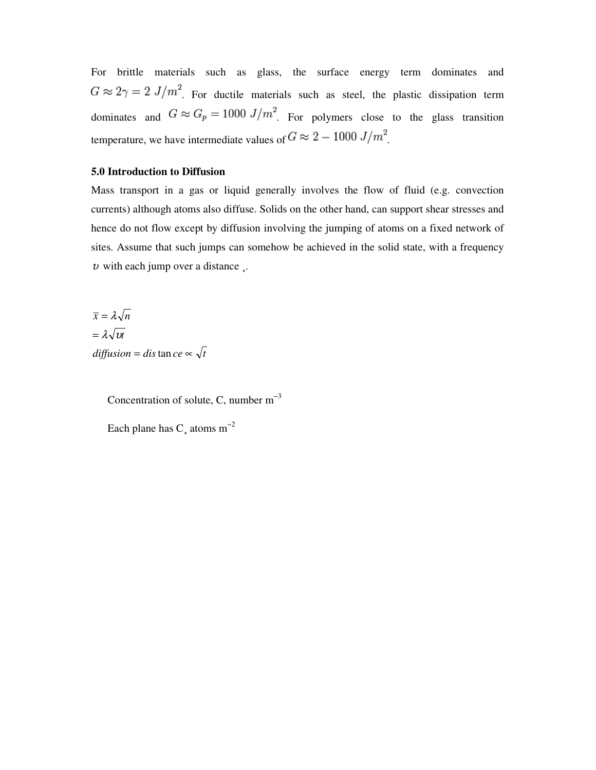For brittle materials such as glass, the surface energy term dominates and  $G \approx 2\gamma = 2 J/m^2$ . For ductile materials such as steel, the plastic dissipation term dominates and  $G \approx G_p = 1000 \text{ J/m}^2$ . For polymers close to the glass transition temperature, we have intermediate values of  $G \approx 2 - 1000 \; J/m^2$ .

#### **5.0 Introduction to Diffusion**

Mass transport in a gas or liquid generally involves the flow of fluid (e.g. convection currents) although atoms also diffuse. Solids on the other hand, can support shear stresses and hence do not flow except by diffusion involving the jumping of atoms on a fixed network of sites. Assume that such jumps can somehow be achieved in the solid state, with a frequency  $v$  with each jump over a distance.

 $diffusion = dis \tan ce \sim \sqrt{t}$  $=\lambda\sqrt{v}t$  $\bar{x} = \lambda \sqrt{n}$ 

> Concentration of solute, C, number  $m^{-3}$ Each plane has C atoms  $m^{-2}$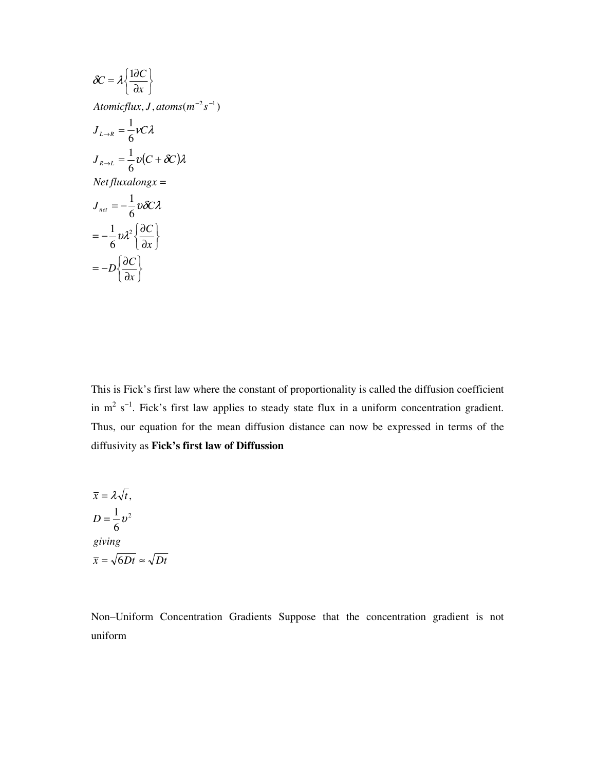$$
\delta C = \lambda \left\{ \frac{1 \partial C}{\partial x} \right\}
$$
  
Atomicflux, J, atoms(m<sup>-2</sup>s<sup>-1</sup>)  

$$
J_{L \to R} = \frac{1}{6} \nu C \lambda
$$
  

$$
J_{R \to L} = \frac{1}{6} \nu (C + \delta C) \lambda
$$
  
Netfluxalongx =  

$$
J_{net} = -\frac{1}{6} \nu \delta C \lambda
$$
  

$$
= -\frac{1}{6} \nu \lambda^2 \left\{ \frac{\partial C}{\partial x} \right\}
$$
  

$$
= -D \left\{ \frac{\partial C}{\partial x} \right\}
$$

This is Fick's first law where the constant of proportionality is called the diffusion coefficient in  $m^2$  s<sup>-1</sup>. Fick's first law applies to steady state flux in a uniform concentration gradient. Thus, our equation for the mean diffusion distance can now be expressed in terms of the diffusivity as **Fick's first law of Diffussion** 

$$
\overline{x} = \lambda \sqrt{t},
$$
  
\n
$$
D = \frac{1}{6} v^2
$$
  
\ngiving  
\n
$$
\overline{x} = \sqrt{6Dt} \approx \sqrt{Dt}
$$

Non–Uniform Concentration Gradients Suppose that the concentration gradient is not uniform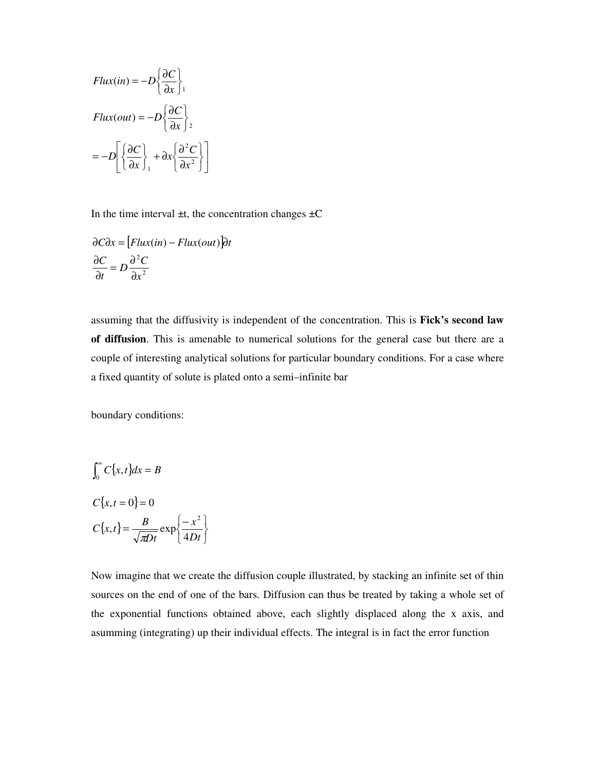$$
Flux(in) = -D \left\{ \frac{\partial C}{\partial x} \right\},\newline \nFlux(out) = -D \left\{ \frac{\partial C}{\partial x} \right\},\newline \n= -D \left[ \left\{ \frac{\partial C}{\partial x} \right\}, +\partial x \left\{ \frac{\partial^2 C}{\partial x^2} \right\} \right]
$$

In the time interval  $\pm t$ , the concentration changes  $\pm C$ 

$$
\partial C \partial x = \left[Flux(in) - Flux(out)\right]\partial t
$$

$$
\frac{\partial C}{\partial t} = D \frac{\partial^2 C}{\partial x^2}
$$

assuming that the diffusivity is independent of the concentration. This is **Fick's second law of diffusion**. This is amenable to numerical solutions for the general case but there are a couple of interesting analytical solutions for particular boundary conditions. For a case where a fixed quantity of solute is plated onto a semi–infinite bar

boundary conditions:

$$
\int_0^\infty C\{x, t\} dx = B
$$
  

$$
C\{x, t = 0\} = 0
$$
  

$$
C\{x, t\} = \frac{B}{\sqrt{\pi Dt}} \exp\left\{\frac{-x^2}{4Dt}\right\}
$$

Now imagine that we create the diffusion couple illustrated, by stacking an infinite set of thin sources on the end of one of the bars. Diffusion can thus be treated by taking a whole set of the exponential functions obtained above, each slightly displaced along the x axis, and asumming (integrating) up their individual effects. The integral is in fact the error function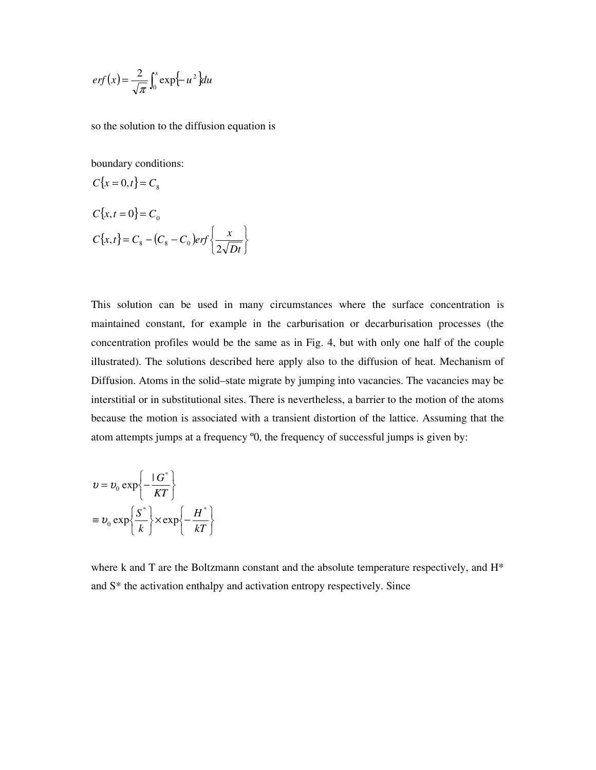$$
erf(x) = \frac{2}{\sqrt{\pi}} \int_0^x \exp\{-u^2\} du
$$

so the solution to the diffusion equation is

boundary conditions:

$$
C\{x = 0, t\} = C_8
$$
  
\n
$$
C\{x, t = 0\} = C_0
$$
  
\n
$$
C\{x, t\} = C_8 - (C_8 - C_0)erf\left\{\frac{x}{2\sqrt{Dt}}\right\}
$$

This solution can be used in many circumstances where the surface concentration is maintained constant, for example in the carburisation or decarburisation processes (the concentration profiles would be the same as in Fig. 4, but with only one half of the couple illustrated). The solutions described here apply also to the diffusion of heat. Mechanism of Diffusion. Atoms in the solid–state migrate by jumping into vacancies. The vacancies may be interstitial or in substitutional sites. There is nevertheless, a barrier to the motion of the atoms because the motion is associated with a transient distortion of the lattice. Assuming that the atom attempts jumps at a frequency º0, the frequency of successful jumps is given by:

$$
v = v_0 \exp\left\{-\frac{|G^*|}{KT}\right\}
$$
  

$$
\equiv v_0 \exp\left\{\frac{S^*}{k}\right\} \times \exp\left\{-\frac{H^*}{kT}\right\}
$$

where k and T are the Boltzmann constant and the absolute temperature respectively, and H<sup>\*</sup> and S\* the activation enthalpy and activation entropy respectively. Since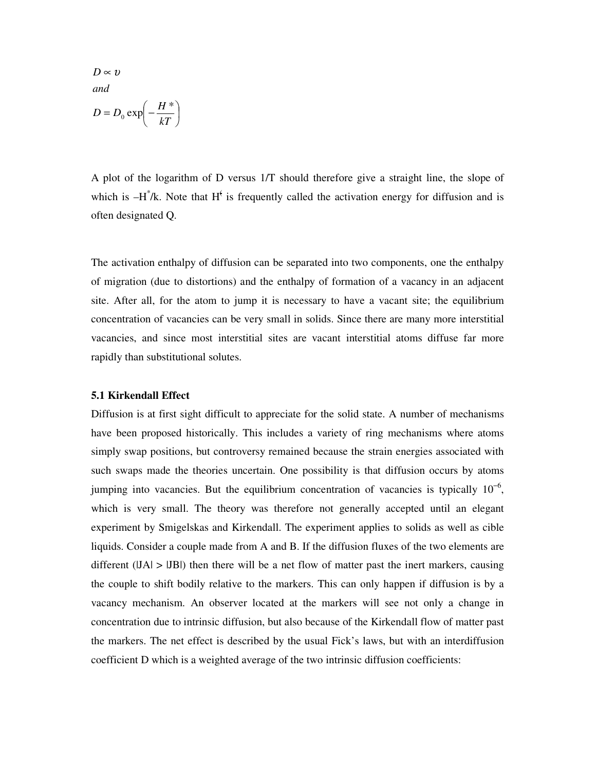$\overline{\phantom{a}}$ J  $\left(-\frac{H^*}{\sqrt{2\pi}}\right)$ l  $= D_0 \exp \left(-\frac{1}{2}\right)$  $D ∞ v$ *kT*  $D = D_0 \exp \left(-\frac{H^*}{kT}\right)$ *and*

A plot of the logarithm of D versus 1/T should therefore give a straight line, the slope of which is  $-H^{\dagger}/k$ . Note that  $H^{\dagger}$  is frequently called the activation energy for diffusion and is often designated Q.

The activation enthalpy of diffusion can be separated into two components, one the enthalpy of migration (due to distortions) and the enthalpy of formation of a vacancy in an adjacent site. After all, for the atom to jump it is necessary to have a vacant site; the equilibrium concentration of vacancies can be very small in solids. Since there are many more interstitial vacancies, and since most interstitial sites are vacant interstitial atoms diffuse far more rapidly than substitutional solutes.

#### **5.1 Kirkendall Effect**

Diffusion is at first sight difficult to appreciate for the solid state. A number of mechanisms have been proposed historically. This includes a variety of ring mechanisms where atoms simply swap positions, but controversy remained because the strain energies associated with such swaps made the theories uncertain. One possibility is that diffusion occurs by atoms jumping into vacancies. But the equilibrium concentration of vacancies is typically  $10^{-6}$ , which is very small. The theory was therefore not generally accepted until an elegant experiment by Smigelskas and Kirkendall. The experiment applies to solids as well as cible liquids. Consider a couple made from A and B. If the diffusion fluxes of the two elements are different  $(|JA| > |JB|)$  then there will be a net flow of matter past the inert markers, causing the couple to shift bodily relative to the markers. This can only happen if diffusion is by a vacancy mechanism. An observer located at the markers will see not only a change in concentration due to intrinsic diffusion, but also because of the Kirkendall flow of matter past the markers. The net effect is described by the usual Fick's laws, but with an interdiffusion coefficient D which is a weighted average of the two intrinsic diffusion coefficients: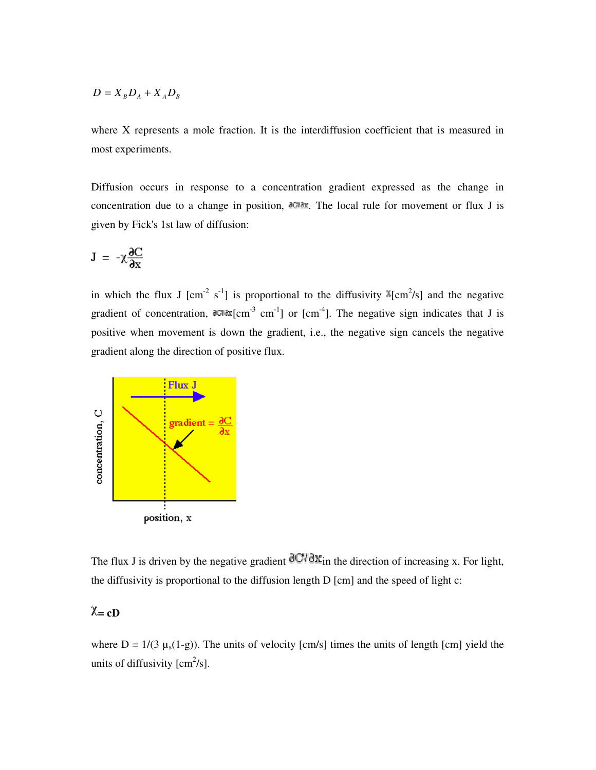$$
\overline{D} = X_B D_A + X_A D_B
$$

where X represents a mole fraction. It is the interdiffusion coefficient that is measured in most experiments.

Diffusion occurs in response to a concentration gradient expressed as the change in concentration due to a change in position,  $\partial \mathbb{C} \partial x$ . The local rule for movement or flux J is given by Fick's 1st law of diffusion:

$$
J = -\chi \frac{\partial C}{\partial x}
$$

in which the flux J [cm<sup>-2</sup> s<sup>-1</sup>] is proportional to the diffusivity  $\mathbb{X}[\text{cm}^2/\text{s}]$  and the negative gradient of concentration,  $dC/dx$  [cm<sup>-3</sup> cm<sup>-1</sup>] or [cm<sup>-4</sup>]. The negative sign indicates that J is positive when movement is down the gradient, i.e., the negative sign cancels the negative gradient along the direction of positive flux.



The flux J is driven by the negative gradient  $\frac{d}{dt}$   $\frac{d}{dt}$  in the direction of increasing x. For light, the diffusivity is proportional to the diffusion length D [cm] and the speed of light c:

# $\chi$  = cD

where  $D = 1/(3 \mu_s(1-g))$ . The units of velocity [cm/s] times the units of length [cm] yield the units of diffusivity  $\text{[cm}^2/\text{s}$ ].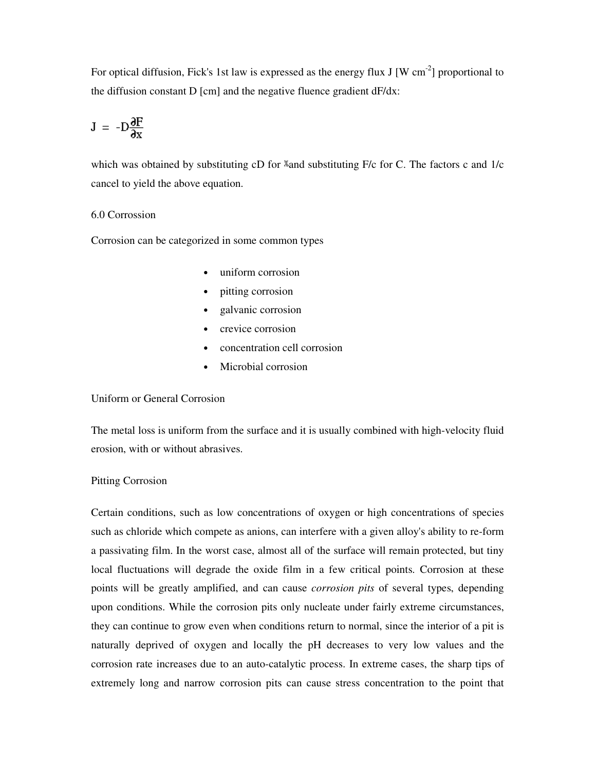For optical diffusion, Fick's 1st law is expressed as the energy flux J [W cm<sup>-2</sup>] proportional to the diffusion constant D [cm] and the negative fluence gradient dF/dx:

$$
J = -D\frac{\partial F}{\partial x}
$$

which was obtained by substituting  $cD$  for  $\mathbb{X}$  and substituting F/c for C. The factors c and 1/c cancel to yield the above equation.

#### 6.0 Corrossion

Corrosion can be categorized in some common types

- uniform corrosion
- pitting corrosion
- galvanic corrosion
- crevice corrosion
- concentration cell corrosion
- Microbial corrosion

#### Uniform or General Corrosion

The metal loss is uniform from the surface and it is usually combined with high-velocity fluid erosion, with or without abrasives.

#### Pitting Corrosion

Certain conditions, such as low concentrations of oxygen or high concentrations of species such as chloride which compete as anions, can interfere with a given alloy's ability to re-form a passivating film. In the worst case, almost all of the surface will remain protected, but tiny local fluctuations will degrade the oxide film in a few critical points. Corrosion at these points will be greatly amplified, and can cause *corrosion pits* of several types, depending upon conditions. While the corrosion pits only nucleate under fairly extreme circumstances, they can continue to grow even when conditions return to normal, since the interior of a pit is naturally deprived of oxygen and locally the pH decreases to very low values and the corrosion rate increases due to an auto-catalytic process. In extreme cases, the sharp tips of extremely long and narrow corrosion pits can cause stress concentration to the point that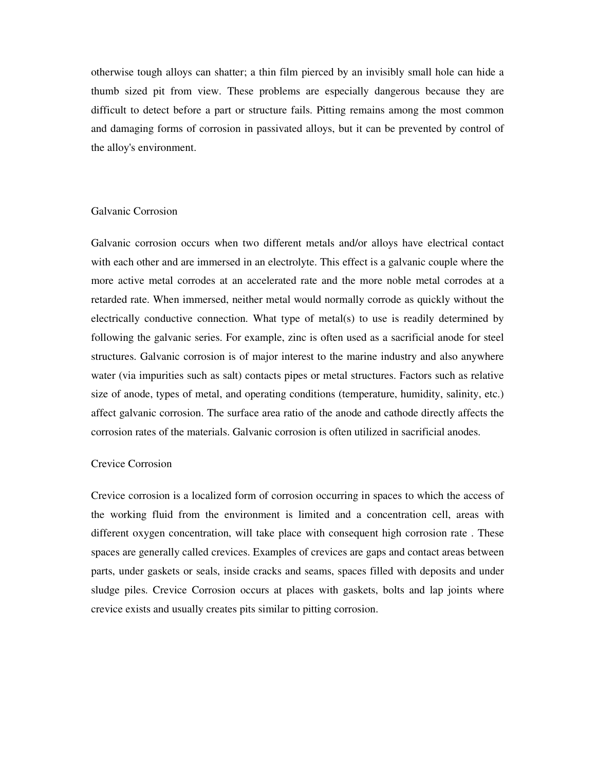otherwise tough alloys can shatter; a thin film pierced by an invisibly small hole can hide a thumb sized pit from view. These problems are especially dangerous because they are difficult to detect before a part or structure fails. Pitting remains among the most common and damaging forms of corrosion in passivated alloys, but it can be prevented by control of the alloy's environment.

#### Galvanic Corrosion

Galvanic corrosion occurs when two different metals and/or alloys have electrical contact with each other and are immersed in an electrolyte. This effect is a galvanic couple where the more active metal corrodes at an accelerated rate and the more noble metal corrodes at a retarded rate. When immersed, neither metal would normally corrode as quickly without the electrically conductive connection. What type of metal(s) to use is readily determined by following the galvanic series. For example, zinc is often used as a sacrificial anode for steel structures. Galvanic corrosion is of major interest to the marine industry and also anywhere water (via impurities such as salt) contacts pipes or metal structures. Factors such as relative size of anode, types of metal, and operating conditions (temperature, humidity, salinity, etc.) affect galvanic corrosion. The surface area ratio of the anode and cathode directly affects the corrosion rates of the materials. Galvanic corrosion is often utilized in sacrificial anodes.

#### Crevice Corrosion

Crevice corrosion is a localized form of corrosion occurring in spaces to which the access of the working fluid from the environment is limited and a concentration cell, areas with different oxygen concentration, will take place with consequent high corrosion rate . These spaces are generally called crevices. Examples of crevices are gaps and contact areas between parts, under gaskets or seals, inside cracks and seams, spaces filled with deposits and under sludge piles. Crevice Corrosion occurs at places with gaskets, bolts and lap joints where crevice exists and usually creates pits similar to pitting corrosion.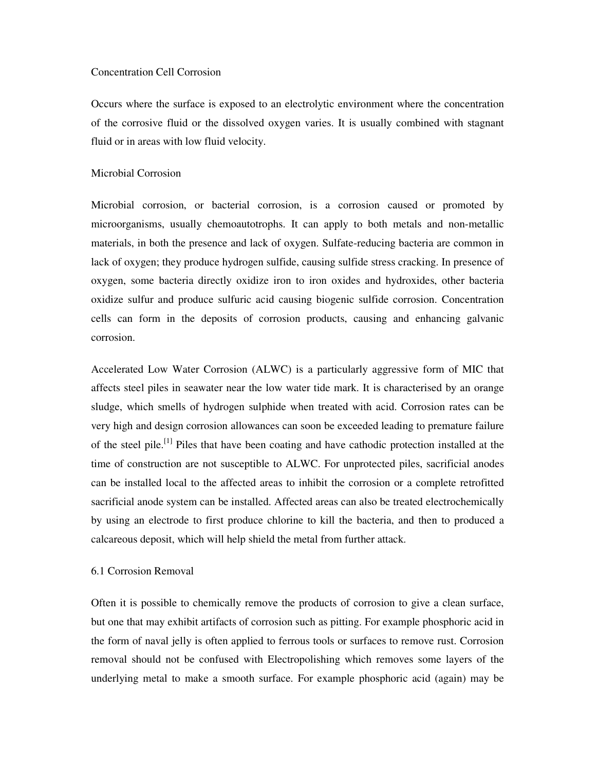#### Concentration Cell Corrosion

Occurs where the surface is exposed to an electrolytic environment where the concentration of the corrosive fluid or the dissolved oxygen varies. It is usually combined with stagnant fluid or in areas with low fluid velocity.

#### Microbial Corrosion

Microbial corrosion, or bacterial corrosion, is a corrosion caused or promoted by microorganisms, usually chemoautotrophs. It can apply to both metals and non-metallic materials, in both the presence and lack of oxygen. Sulfate-reducing bacteria are common in lack of oxygen; they produce hydrogen sulfide, causing sulfide stress cracking. In presence of oxygen, some bacteria directly oxidize iron to iron oxides and hydroxides, other bacteria oxidize sulfur and produce sulfuric acid causing biogenic sulfide corrosion. Concentration cells can form in the deposits of corrosion products, causing and enhancing galvanic corrosion.

Accelerated Low Water Corrosion (ALWC) is a particularly aggressive form of MIC that affects steel piles in seawater near the low water tide mark. It is characterised by an orange sludge, which smells of hydrogen sulphide when treated with acid. Corrosion rates can be very high and design corrosion allowances can soon be exceeded leading to premature failure of the steel pile.<sup>[1]</sup> Piles that have been coating and have cathodic protection installed at the time of construction are not susceptible to ALWC. For unprotected piles, sacrificial anodes can be installed local to the affected areas to inhibit the corrosion or a complete retrofitted sacrificial anode system can be installed. Affected areas can also be treated electrochemically by using an electrode to first produce chlorine to kill the bacteria, and then to produced a calcareous deposit, which will help shield the metal from further attack.

#### 6.1 Corrosion Removal

Often it is possible to chemically remove the products of corrosion to give a clean surface, but one that may exhibit artifacts of corrosion such as pitting. For example phosphoric acid in the form of naval jelly is often applied to ferrous tools or surfaces to remove rust. Corrosion removal should not be confused with Electropolishing which removes some layers of the underlying metal to make a smooth surface. For example phosphoric acid (again) may be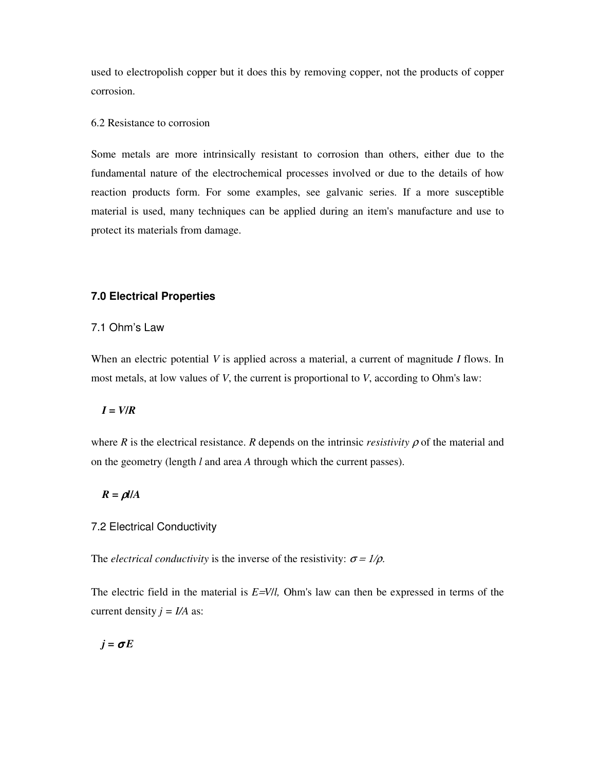used to electropolish copper but it does this by removing copper, not the products of copper corrosion.

#### 6.2 Resistance to corrosion

Some metals are more intrinsically resistant to corrosion than others, either due to the fundamental nature of the electrochemical processes involved or due to the details of how reaction products form. For some examples, see galvanic series. If a more susceptible material is used, many techniques can be applied during an item's manufacture and use to protect its materials from damage.

#### **7.0 Electrical Properties**

#### 7.1 Ohm's Law

When an electric potential *V* is applied across a material, a current of magnitude *I* flows. In most metals, at low values of *V*, the current is proportional to *V*, according to Ohm's law:

#### $I = V/R$

where *R* is the electrical resistance. *R* depends on the intrinsic *resistivity*  $\rho$  of the material and on the geometry (length *l* and area *A* through which the current passes).

#### $R = \rho I/A$

#### 7.2 Electrical Conductivity

The *electrical conductivity* is the inverse of the resistivity:  $\sigma = 1/\rho$ .

The electric field in the material is *E*=*V*/*l,* Ohm's law can then be expressed in terms of the current density  $j = I/A$  as:

$$
j = \sigma E
$$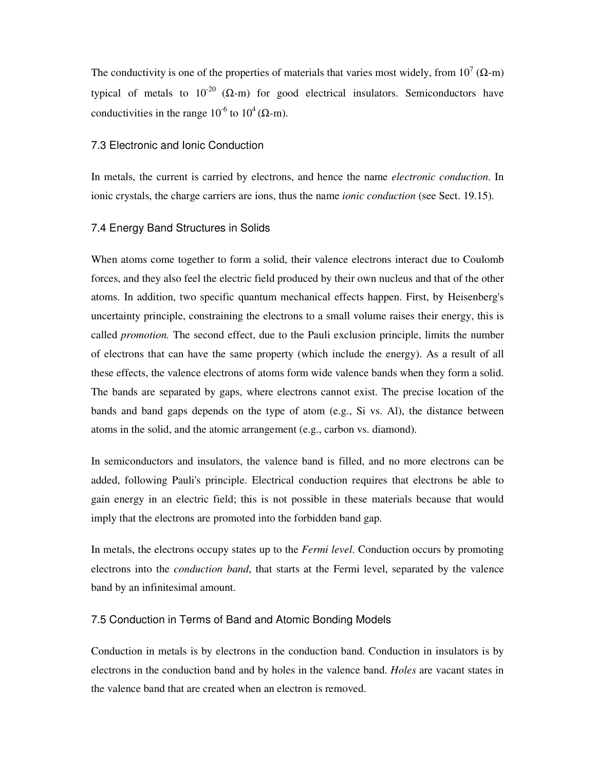The conductivity is one of the properties of materials that varies most widely, from  $10^7$  ( $\Omega$ -m) typical of metals to  $10^{-20}$  (Ω-m) for good electrical insulators. Semiconductors have conductivities in the range  $10^{-6}$  to  $10^{4}$  ( $\Omega$ -m).

#### 7.3 Electronic and Ionic Conduction

In metals, the current is carried by electrons, and hence the name *electronic conduction*. In ionic crystals, the charge carriers are ions, thus the name *ionic conduction* (see Sect. 19.15).

#### 7.4 Energy Band Structures in Solids

When atoms come together to form a solid, their valence electrons interact due to Coulomb forces, and they also feel the electric field produced by their own nucleus and that of the other atoms. In addition, two specific quantum mechanical effects happen. First, by Heisenberg's uncertainty principle, constraining the electrons to a small volume raises their energy, this is called *promotion.* The second effect, due to the Pauli exclusion principle, limits the number of electrons that can have the same property (which include the energy). As a result of all these effects, the valence electrons of atoms form wide valence bands when they form a solid. The bands are separated by gaps, where electrons cannot exist. The precise location of the bands and band gaps depends on the type of atom (e.g., Si vs. Al), the distance between atoms in the solid, and the atomic arrangement (e.g., carbon vs. diamond).

In semiconductors and insulators, the valence band is filled, and no more electrons can be added, following Pauli's principle. Electrical conduction requires that electrons be able to gain energy in an electric field; this is not possible in these materials because that would imply that the electrons are promoted into the forbidden band gap.

In metals, the electrons occupy states up to the *Fermi level*. Conduction occurs by promoting electrons into the *conduction band*, that starts at the Fermi level, separated by the valence band by an infinitesimal amount.

#### 7.5 Conduction in Terms of Band and Atomic Bonding Models

Conduction in metals is by electrons in the conduction band. Conduction in insulators is by electrons in the conduction band and by holes in the valence band. *Holes* are vacant states in the valence band that are created when an electron is removed.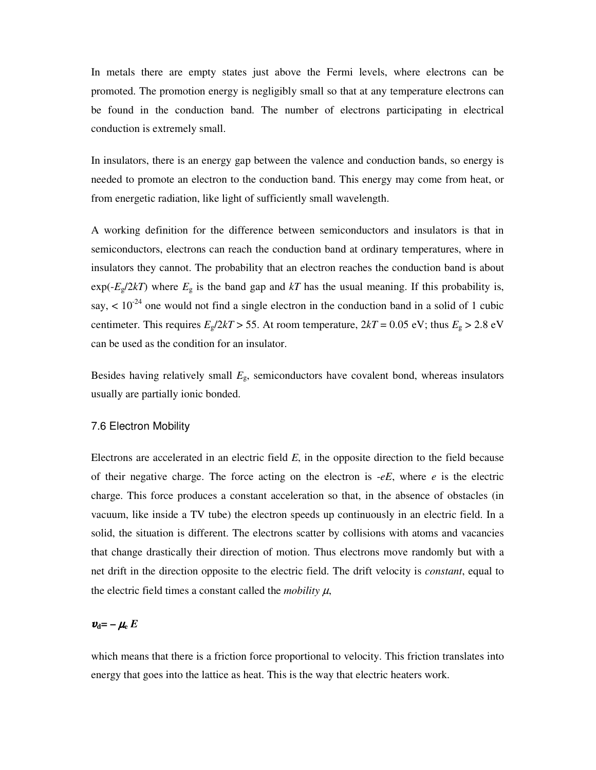In metals there are empty states just above the Fermi levels, where electrons can be promoted. The promotion energy is negligibly small so that at any temperature electrons can be found in the conduction band. The number of electrons participating in electrical conduction is extremely small.

In insulators, there is an energy gap between the valence and conduction bands, so energy is needed to promote an electron to the conduction band. This energy may come from heat, or from energetic radiation, like light of sufficiently small wavelength.

A working definition for the difference between semiconductors and insulators is that in semiconductors, electrons can reach the conduction band at ordinary temperatures, where in insulators they cannot. The probability that an electron reaches the conduction band is about  $exp(-E_g/2kT)$  where  $E_g$  is the band gap and  $kT$  has the usual meaning. If this probability is, say,  $\lt 10^{-24}$  one would not find a single electron in the conduction band in a solid of 1 cubic centimeter. This requires  $E_g/2kT > 55$ . At room temperature,  $2kT = 0.05$  eV; thus  $E_g > 2.8$  eV can be used as the condition for an insulator.

Besides having relatively small *E*g, semiconductors have covalent bond, whereas insulators usually are partially ionic bonded.

#### 7.6 Electron Mobility

Electrons are accelerated in an electric field *E*, in the opposite direction to the field because of their negative charge. The force acting on the electron is  $-eE$ , where  $e$  is the electric charge. This force produces a constant acceleration so that, in the absence of obstacles (in vacuum, like inside a TV tube) the electron speeds up continuously in an electric field. In a solid, the situation is different. The electrons scatter by collisions with atoms and vacancies that change drastically their direction of motion. Thus electrons move randomly but with a net drift in the direction opposite to the electric field. The drift velocity is *constant*, equal to the electric field times a constant called the *mobility*  $\mu$ ,

# $v_{\rm d} = -\mu_{\rm e} E$

which means that there is a friction force proportional to velocity. This friction translates into energy that goes into the lattice as heat. This is the way that electric heaters work.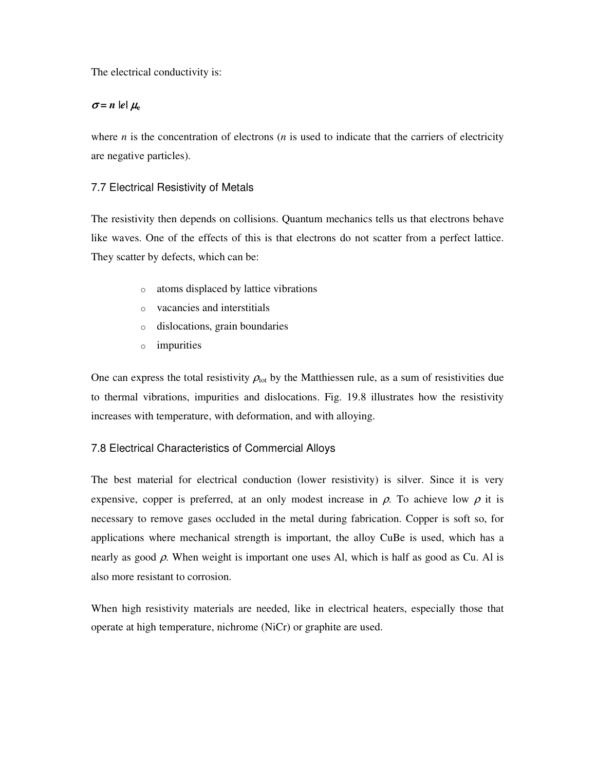The electrical conductivity is:

## $\sigma$  = *n* |e|  $\mu_e$

where *n* is the concentration of electrons (*n* is used to indicate that the carriers of electricity are negative particles).

# 7.7 Electrical Resistivity of Metals

The resistivity then depends on collisions. Quantum mechanics tells us that electrons behave like waves. One of the effects of this is that electrons do not scatter from a perfect lattice. They scatter by defects, which can be:

- o atoms displaced by lattice vibrations
- o vacancies and interstitials
- o dislocations, grain boundaries
- o impurities

One can express the total resistivity  $\rho_{tot}$  by the Matthiessen rule, as a sum of resistivities due to thermal vibrations, impurities and dislocations. Fig. 19.8 illustrates how the resistivity increases with temperature, with deformation, and with alloying.

## 7.8 Electrical Characteristics of Commercial Alloys

The best material for electrical conduction (lower resistivity) is silver. Since it is very expensive, copper is preferred, at an only modest increase in  $\rho$ . To achieve low  $\rho$  it is necessary to remove gases occluded in the metal during fabrication. Copper is soft so, for applications where mechanical strength is important, the alloy CuBe is used, which has a nearly as good  $\rho$ . When weight is important one uses Al, which is half as good as Cu. Al is also more resistant to corrosion.

When high resistivity materials are needed, like in electrical heaters, especially those that operate at high temperature, nichrome (NiCr) or graphite are used.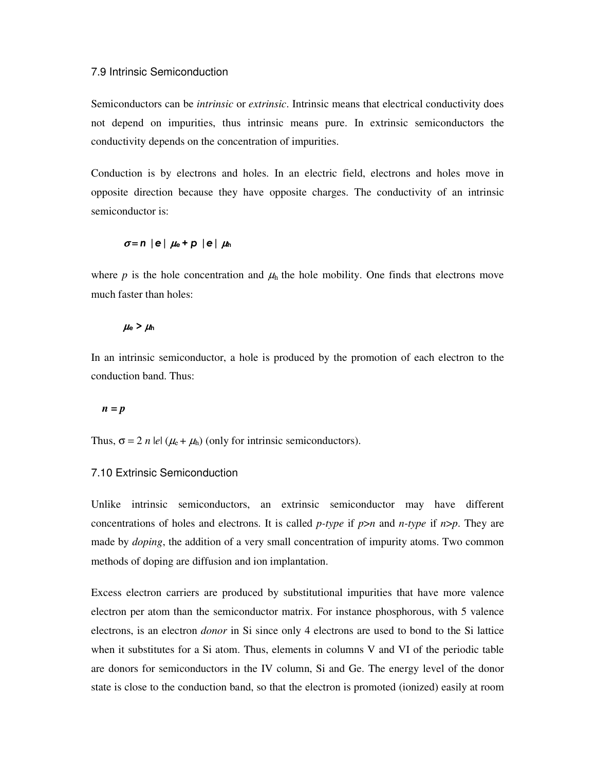#### 7.9 Intrinsic Semiconduction

Semiconductors can be *intrinsic* or *extrinsic*. Intrinsic means that electrical conductivity does not depend on impurities, thus intrinsic means pure. In extrinsic semiconductors the conductivity depends on the concentration of impurities.

Conduction is by electrons and holes. In an electric field, electrons and holes move in opposite direction because they have opposite charges. The conductivity of an intrinsic semiconductor is:

$$
\sigma = n |e| \mu_e + p |e| \mu_h
$$

where  $p$  is the hole concentration and  $\mu_h$  the hole mobility. One finds that electrons move much faster than holes:

#### $\mu_{\rm e}$  >  $\mu_{\rm h}$

In an intrinsic semiconductor, a hole is produced by the promotion of each electron to the conduction band. Thus:

#### $n = p$

Thus,  $\sigma = 2$  *n* let  $(\mu_e + \mu_h)$  (only for intrinsic semiconductors).

#### 7.10 Extrinsic Semiconduction

Unlike intrinsic semiconductors, an extrinsic semiconductor may have different concentrations of holes and electrons. It is called *p-type* if *p*>*n* and *n-type* if *n*>*p*. They are made by *doping*, the addition of a very small concentration of impurity atoms. Two common methods of doping are diffusion and ion implantation.

Excess electron carriers are produced by substitutional impurities that have more valence electron per atom than the semiconductor matrix. For instance phosphorous, with 5 valence electrons, is an electron *donor* in Si since only 4 electrons are used to bond to the Si lattice when it substitutes for a Si atom. Thus, elements in columns V and VI of the periodic table are donors for semiconductors in the IV column, Si and Ge. The energy level of the donor state is close to the conduction band, so that the electron is promoted (ionized) easily at room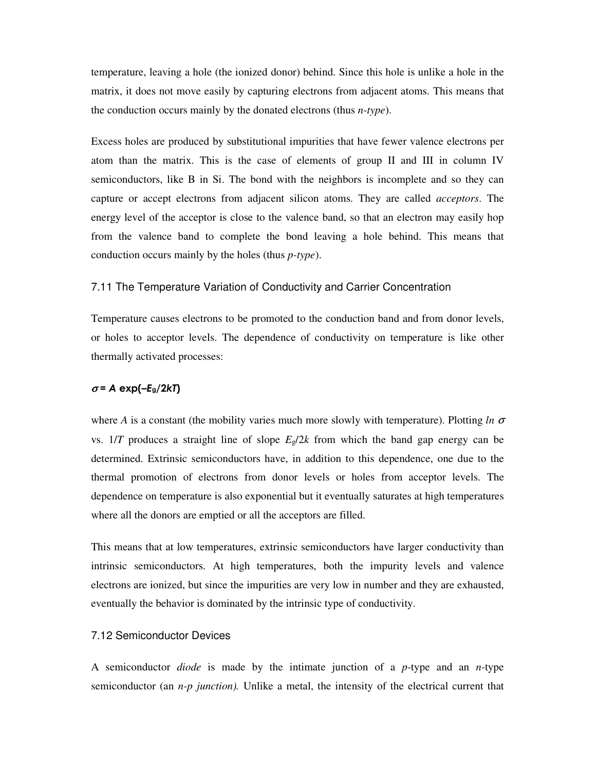temperature, leaving a hole (the ionized donor) behind. Since this hole is unlike a hole in the matrix, it does not move easily by capturing electrons from adjacent atoms. This means that the conduction occurs mainly by the donated electrons (thus *n-type*).

Excess holes are produced by substitutional impurities that have fewer valence electrons per atom than the matrix. This is the case of elements of group II and III in column IV semiconductors, like B in Si. The bond with the neighbors is incomplete and so they can capture or accept electrons from adjacent silicon atoms. They are called *acceptors*. The energy level of the acceptor is close to the valence band, so that an electron may easily hop from the valence band to complete the bond leaving a hole behind. This means that conduction occurs mainly by the holes (thus *p-type*).

#### 7.11 The Temperature Variation of Conductivity and Carrier Concentration

Temperature causes electrons to be promoted to the conduction band and from donor levels, or holes to acceptor levels. The dependence of conductivity on temperature is like other thermally activated processes:

#### $\sigma$  = A exp(-E<sub>g</sub>/2kT)

where *A* is a constant (the mobility varies much more slowly with temperature). Plotting *ln* <sup>σ</sup> vs.  $1/T$  produces a straight line of slope  $E_g/2k$  from which the band gap energy can be determined. Extrinsic semiconductors have, in addition to this dependence, one due to the thermal promotion of electrons from donor levels or holes from acceptor levels. The dependence on temperature is also exponential but it eventually saturates at high temperatures where all the donors are emptied or all the acceptors are filled.

This means that at low temperatures, extrinsic semiconductors have larger conductivity than intrinsic semiconductors. At high temperatures, both the impurity levels and valence electrons are ionized, but since the impurities are very low in number and they are exhausted, eventually the behavior is dominated by the intrinsic type of conductivity.

#### 7.12 Semiconductor Devices

A semiconductor *diode* is made by the intimate junction of a *p-*type and an *n*-type semiconductor (an *n-p junction*). Unlike a metal, the intensity of the electrical current that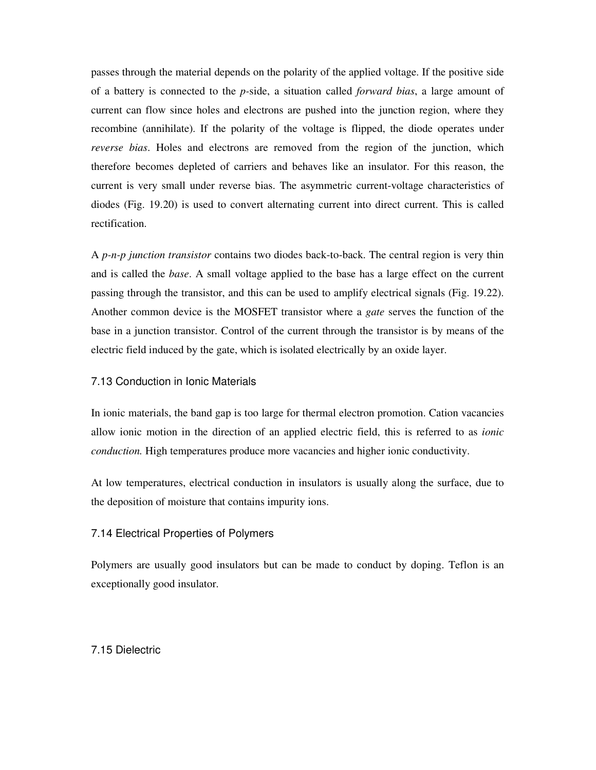passes through the material depends on the polarity of the applied voltage. If the positive side of a battery is connected to the *p-*side, a situation called *forward bias*, a large amount of current can flow since holes and electrons are pushed into the junction region, where they recombine (annihilate). If the polarity of the voltage is flipped, the diode operates under *reverse bias*. Holes and electrons are removed from the region of the junction, which therefore becomes depleted of carriers and behaves like an insulator. For this reason, the current is very small under reverse bias. The asymmetric current-voltage characteristics of diodes (Fig. 19.20) is used to convert alternating current into direct current. This is called rectification.

A *p-n-p junction transistor* contains two diodes back-to-back. The central region is very thin and is called the *base*. A small voltage applied to the base has a large effect on the current passing through the transistor, and this can be used to amplify electrical signals (Fig. 19.22). Another common device is the MOSFET transistor where a *gate* serves the function of the base in a junction transistor. Control of the current through the transistor is by means of the electric field induced by the gate, which is isolated electrically by an oxide layer.

#### 7.13 Conduction in Ionic Materials

In ionic materials, the band gap is too large for thermal electron promotion. Cation vacancies allow ionic motion in the direction of an applied electric field, this is referred to as *ionic conduction.* High temperatures produce more vacancies and higher ionic conductivity.

At low temperatures, electrical conduction in insulators is usually along the surface, due to the deposition of moisture that contains impurity ions.

#### 7.14 Electrical Properties of Polymers

Polymers are usually good insulators but can be made to conduct by doping. Teflon is an exceptionally good insulator.

#### 7.15 Dielectric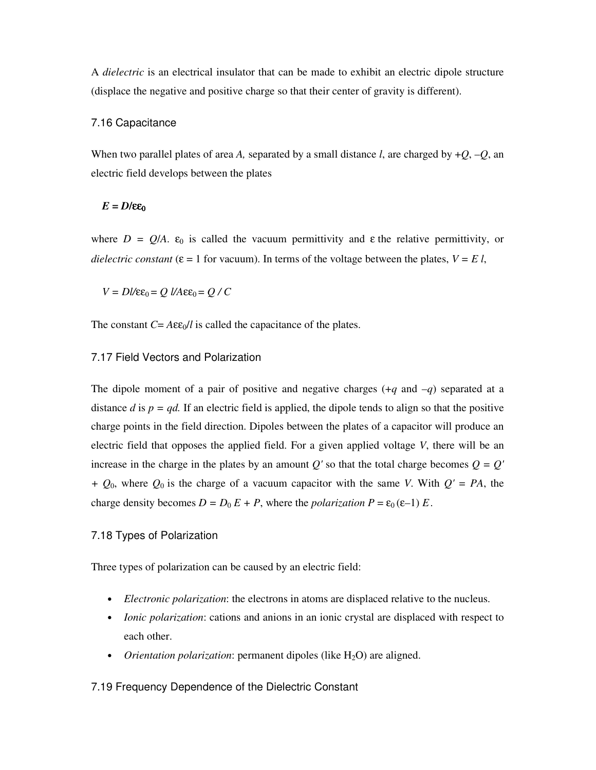A *dielectric* is an electrical insulator that can be made to exhibit an electric dipole structure (displace the negative and positive charge so that their center of gravity is different).

#### 7.16 Capacitance

When two parallel plates of area *A*, separated by a small distance *l*, are charged by  $+Q$ ,  $-Q$ , an electric field develops between the plates

#### $E = D$ **/εε**<sub>0</sub>

where  $D = Q/A$ .  $\varepsilon_0$  is called the vacuum permittivity and  $\varepsilon$  the relative permittivity, or *dielectric constant* ( $\varepsilon = 1$  for vacuum). In terms of the voltage between the plates,  $V = E l$ ,

 $V = Dl/\varepsilon\varepsilon_0 = Q l/A \varepsilon\varepsilon_0 = Q / C$ 

The constant  $C = A \varepsilon \varepsilon_0 / l$  is called the capacitance of the plates.

#### 7.17 Field Vectors and Polarization

The dipole moment of a pair of positive and negative charges (+*q* and –*q*) separated at a distance *d* is  $p = qd$ . If an electric field is applied, the dipole tends to align so that the positive charge points in the field direction. Dipoles between the plates of a capacitor will produce an electric field that opposes the applied field. For a given applied voltage *V*, there will be an increase in the charge in the plates by an amount  $Q'$  so that the total charge becomes  $Q = Q'$ *+ Q*0, where *Q*0 is the charge of a vacuum capacitor with the same *V*. With *Q' = PA*, the charge density becomes  $D = D_0 E + P$ , where the *polarization*  $P = \varepsilon_0 (\varepsilon - 1) E$ .

#### 7.18 Types of Polarization

Three types of polarization can be caused by an electric field:

- *Electronic polarization*: the electrons in atoms are displaced relative to the nucleus.
- *Ionic polarization*: cations and anions in an ionic crystal are displaced with respect to each other.
- *Orientation polarization*: permanent dipoles (like  $H_2O$ ) are aligned.

#### 7.19 Frequency Dependence of the Dielectric Constant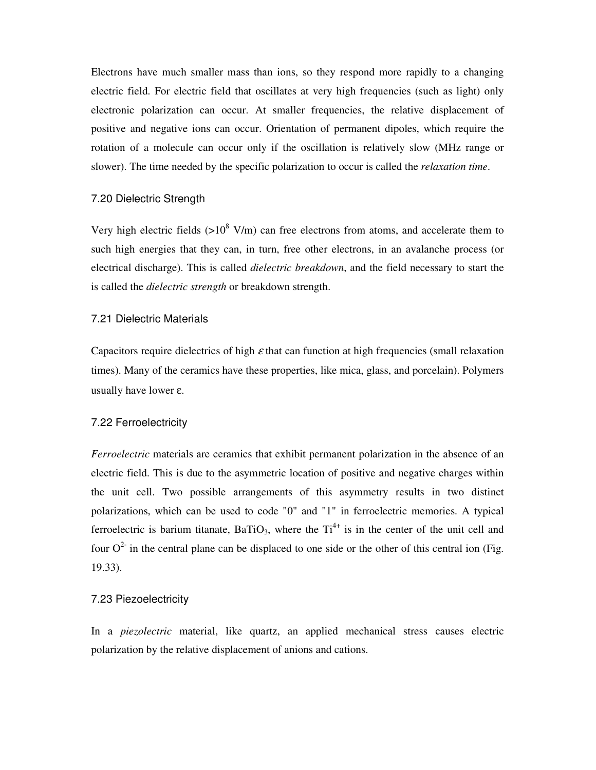Electrons have much smaller mass than ions, so they respond more rapidly to a changing electric field. For electric field that oscillates at very high frequencies (such as light) only electronic polarization can occur. At smaller frequencies, the relative displacement of positive and negative ions can occur. Orientation of permanent dipoles, which require the rotation of a molecule can occur only if the oscillation is relatively slow (MHz range or slower). The time needed by the specific polarization to occur is called the *relaxation time*.

#### 7.20 Dielectric Strength

Very high electric fields  $(>10^8$  V/m) can free electrons from atoms, and accelerate them to such high energies that they can, in turn, free other electrons, in an avalanche process (or electrical discharge). This is called *dielectric breakdown*, and the field necessary to start the is called the *dielectric strength* or breakdown strength.

#### 7.21 Dielectric Materials

Capacitors require dielectrics of high  $\varepsilon$  that can function at high frequencies (small relaxation times). Many of the ceramics have these properties, like mica, glass, and porcelain). Polymers usually have lower ε.

#### 7.22 Ferroelectricity

*Ferroelectric* materials are ceramics that exhibit permanent polarization in the absence of an electric field. This is due to the asymmetric location of positive and negative charges within the unit cell. Two possible arrangements of this asymmetry results in two distinct polarizations, which can be used to code "0" and "1" in ferroelectric memories. A typical ferroelectric is barium titanate,  $BaTiO<sub>3</sub>$ , where the  $Ti<sup>4+</sup>$  is in the center of the unit cell and four  $O^2$  in the central plane can be displaced to one side or the other of this central ion (Fig. 19.33).

#### 7.23 Piezoelectricity

In a *piezolectric* material, like quartz, an applied mechanical stress causes electric polarization by the relative displacement of anions and cations.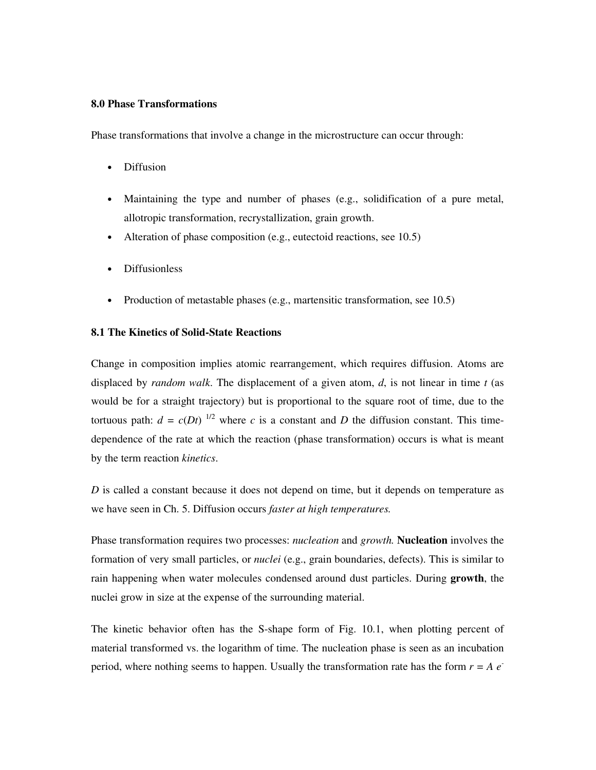#### **8.0 Phase Transformations**

Phase transformations that involve a change in the microstructure can occur through:

- Diffusion
- Maintaining the type and number of phases (e.g., solidification of a pure metal, allotropic transformation, recrystallization, grain growth.
- Alteration of phase composition (e.g., eutectoid reactions, see 10.5)
- Diffusionless
- Production of metastable phases (e.g., martensitic transformation, see 10.5)

#### **8.1 The Kinetics of Solid-State Reactions**

Change in composition implies atomic rearrangement, which requires diffusion. Atoms are displaced by *random walk*. The displacement of a given atom, *d*, is not linear in time *t* (as would be for a straight trajectory) but is proportional to the square root of time, due to the tortuous path:  $d = c(Dt)^{1/2}$  where *c* is a constant and *D* the diffusion constant. This timedependence of the rate at which the reaction (phase transformation) occurs is what is meant by the term reaction *kinetics*.

*D* is called a constant because it does not depend on time, but it depends on temperature as we have seen in Ch. 5. Diffusion occurs *faster at high temperatures.* 

Phase transformation requires two processes: *nucleation* and *growth.* **Nucleation** involves the formation of very small particles, or *nuclei* (e.g., grain boundaries, defects). This is similar to rain happening when water molecules condensed around dust particles. During **growth**, the nuclei grow in size at the expense of the surrounding material.

The kinetic behavior often has the S-shape form of Fig. 10.1, when plotting percent of material transformed vs. the logarithm of time. The nucleation phase is seen as an incubation period, where nothing seems to happen. Usually the transformation rate has the form  $r = A e^-$